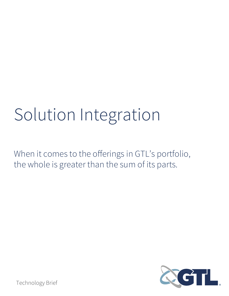# Solution Integration

When it comes to the offerings in GTL's portfolio, the whole is greater than the sum of its parts.



Technology Brief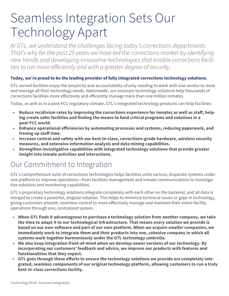## Seamless Integration Sets Our Technology Apart

*At GTL, we understand the challenges facing today's corrections departments. That's why for the past 25 years we have led the corrections market by identifying new trends and developing innovative technologies that enable corrections facili*ties to run more efficiently and with a greater degree of security.

#### **Today, we're proud to be the leading provider of fully integrated corrections technology solutions.**

GTL-served facilities enjoy the simplicity and accountability of only needing to work with one vendor to meet and manage all their technology needs. Nationwide, our visionary technology solutions help thousands of corrections facilities more effectively and efficiently manage more than one million inmates.

Today, as well as in a post-FCC regulatory climate, GTL's integrated technology products can help facilities:

- Reduce recidivism rates by improving the corrections experience for inmates as well as staff, help**ing create safer facilities and finding the means to fund critical programs and solutions in a post-FCC world.**
- **Enhance operational efficiencies by automating processes and systems, reducing paperwork, and** freeing up staff time.
- **Increase control and safety with our best-in-class, corrections-grade hardware, wireless security measures, and extensive information analysis and data mining capabilities.**
- **Strengthen investigative capabilities with integrated technology solutions that provide greater insight into inmate activities and interactions.**

#### Our Commitment to Integration

GTL's comprehensive suite of corrections technologies helps facilities unite various, disparate systems under one platform to improve operations—from facilities management and inmate communications to investigative solutions and monitoring capabilities.

GTL's proprietary technology solutions integrate completely with each other on the backend, and all data is merged to create a powerful, singular solution. This helps to minimize technical issues or gaps in technology, giving customers smooth, seamless control to more effectively manage and maintain their entire facility operations through one, centralized system.

- **When GTL finds it advantageous to purchase a technology solution from another company, we take the time to adapt it to our technological infrastructure. That means every solution we provide is**  based on our own software and part of our own platform. When we acquire smaller companies, we **immediately work to integrate them and their products into one, cohesive company in which all systems work together harmoniously under the GTL technology umbrella.**
- **We also keep integration front-of-mind when we develop newer versions of our technology. By incorporating our customers' feedback and advice, we improve our products with features and functionalities that they expect.**
- GTL goes through these efforts to ensure the technology solutions we provide are completely inte**grated, seamless components of our original technology platform, allowing customers to run a truly best-in-class corrections facility.**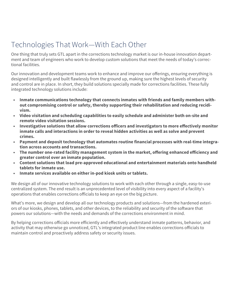One thing that truly sets GTL apart in the corrections technology market is our in-house innovation department and team of engineers who work to develop custom solutions that meet the needs of today's correctional facilities.

Our innovation and development teams work to enhance and improve our offerings, ensuring everything is designed intelligently and built flawlessly from the ground up, making sure the highest levels of security and control are in place. In short, they build solutions specially made for corrections facilities. These fully integrated technology solutions include:

- **Inmate communications technology that connects inmates with friends and family members without compromising control or safety, thereby supporting their rehabilitation and reducing recidivism.**
- **Video visitation and scheduling capabilities to easily schedule and administer both on-site and remote video visitation sessions.**
- Investigative solutions that allow corrections officers and investigators to more effectively monitor **inmate calls and interactions in order to reveal hidden activities as well as solve and prevent crimes.**
- **Payment and deposit technology that automates routine financial processes with real-time integration across accounts and transactions.**
- The number one-rated facility management system in the market, offering enhanced efficiency and **greater control over an inmate population.**
- **Content solutions that load pre-approved educational and entertainment materials onto handheld tablets for inmate use.**
- **Inmate services available on either in-pod kiosk units or tablets.**

We design all of our innovative technology solutions to work with each other through a single, easy-to-use centralized system. The end result is an unprecedented level of visibility into every aspect of a facility's operations that enables corrections officials to keep an eye on the big picture.

What's more, we design and develop all our technology products and solutions—from the hardened exteriors of our kiosks, phones, tablets, and other devices, to the reliability and security of the software that powers our solutions—with the needs and demands of the corrections environment in mind.

By helping corrections officials more efficiently and effectively understand inmate patterns, behavior, and activity that may otherwise go unnoticed, GTL's integrated product line enables corrections officials to maintain control and proactively address safety or security issues.